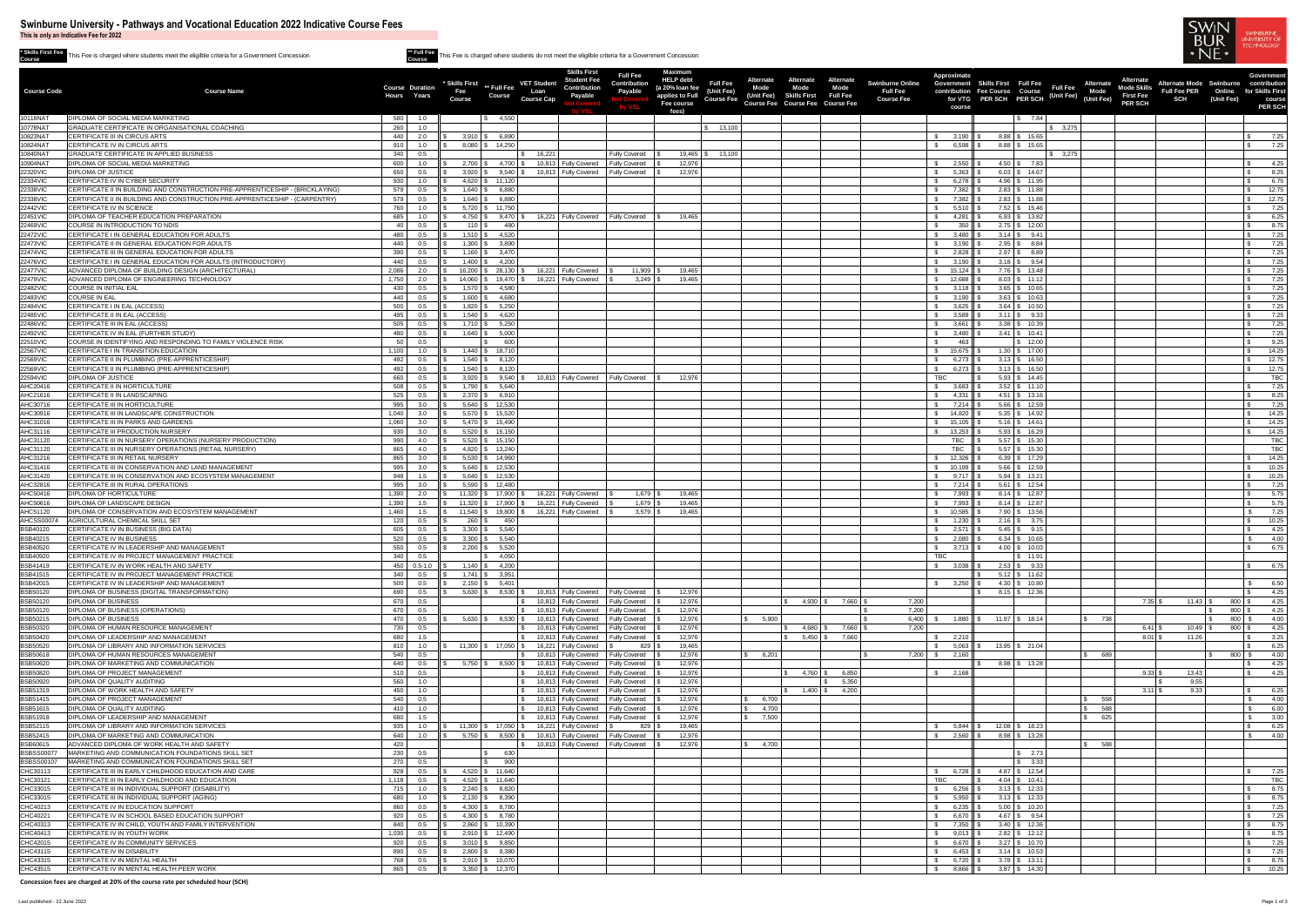**This is only an Indicative Fee for 2022**

**\* Skills First Fee Course** This Fee is charged where students meet the eligilble criteria for a Government Concession **\*\* Full Fee**

|                                      |                                                                                                                    |                         |                        |                      |                                                                                                  | <b>Skills First</b>                                            | <b>Full Fee</b>                              | <b>Maximum</b>                      |                                                    |                                                                                   |                                                                | Approximate                              |                                                           |                          |                                 |                                    |                                                        |                        | <b>Government</b>                |
|--------------------------------------|--------------------------------------------------------------------------------------------------------------------|-------------------------|------------------------|----------------------|--------------------------------------------------------------------------------------------------|----------------------------------------------------------------|----------------------------------------------|-------------------------------------|----------------------------------------------------|-----------------------------------------------------------------------------------|----------------------------------------------------------------|------------------------------------------|-----------------------------------------------------------|--------------------------|---------------------------------|------------------------------------|--------------------------------------------------------|------------------------|----------------------------------|
| <b>Course Code</b>                   | <b>Course Name</b>                                                                                                 |                         | <b>Course Duration</b> |                      | <b>VET Student</b><br>* Skills First ** Full Fee                                                 | Student Fee<br><b>Contribution</b>                             | <b>Contribution</b>                          | <b>HELP debt</b><br>(a 20% loan fee | <b>Alternate</b><br><b>Full Fee</b><br><b>Mode</b> | Alternate<br><b>Mode</b><br>Mode                                                  | <b>Alternate</b><br><b>Swinburne Online</b><br><b>Full Fee</b> |                                          | Government Skills First Full Fee<br>Course Full Fee       |                          | <b>Alternate</b><br><b>Mode</b> | <b>Mode Skills</b>                 | <b>Alternate Mode Swinburne</b><br><b>Full Fee PER</b> | Online                 | contribution<br>for Skills First |
|                                      |                                                                                                                    | Hours                   | Years                  | Fee<br><b>Course</b> | Loan<br><b>Course</b><br><b>Course Cap</b>                                                       | Payable                                                        | <b>Payable</b>                               | applies to Full<br>Fee course       | (Unit Fee)<br>(Unit Fee)<br><b>Course Fee</b>      | <b>Full Fee</b><br><b>Skills First</b><br><b>Course Fee Course Fee Course Fee</b> | <b>Course Fee</b>                                              |                                          | contribution Fee Course Course<br>for VTG PER SCH PER SCH | J. (Unit Fee) (Unit Fee) |                                 | <b>First Fee</b><br><b>PER SCH</b> | <b>SCH</b>                                             | (Unit Fee)             | course                           |
|                                      |                                                                                                                    |                         |                        |                      |                                                                                                  |                                                                |                                              | fees)                               |                                                    |                                                                                   |                                                                | course                                   |                                                           |                          |                                 |                                    |                                                        |                        | <b>PER SCH</b>                   |
| 10118NAT<br>10778NAT                 | <b>DIPLOMA OF SOCIAL MEDIA MARKETING</b><br>GRADUATE CERTIFICATE IN ORGANISATIONAL COACHING                        | 580<br>260              | 1.0<br>1.0             |                      | 4,550                                                                                            |                                                                |                                              |                                     | \$ 13,100                                          |                                                                                   |                                                                |                                          | \$7.84                                                    | \$3,275                  |                                 |                                    |                                                        |                        |                                  |
| 10823NAT                             | CERTIFICATE III IN CIRCUS ARTS                                                                                     | 440                     | 2.0                    |                      | $3.910$ \$ 6.890                                                                                 |                                                                |                                              |                                     |                                                    |                                                                                   |                                                                | 3,190                                    | $8.88$ \ \$ 15.65                                         |                          |                                 |                                    |                                                        |                        | 7.25                             |
| 10824NAT<br>10840NAT                 | CERTIFICATE IV IN CIRCUS ARTS<br><b>GRADUATE CERTIFICATE IN APPLIED BUSINESS</b>                                   | 340                     | 1.0<br>0.5             |                      | 8,080 \$ 14,250<br>16,221                                                                        |                                                                | <b>Fully Covered</b>                         |                                     | $19.465$ $\frac{1}{3}$ $13.100$                    |                                                                                   |                                                                | 6,598 $\parallel$ \$                     | $8.88$ \ \$ 15.65                                         | $\frac{1}{2}$ 3,275      |                                 |                                    |                                                        |                        | 7.25                             |
| 10904NAT                             | <b>DIPLOMA OF SOCIAL MEDIA MARKETING</b>                                                                           | 600 I                   |                        |                      | $2,700$ \ \$ 4,700 \ \$                                                                          | 10,813 Fully Covered                                           | <b>Fully Covered</b>                         | 12,976                              |                                                    |                                                                                   |                                                                | $2,550$    \$                            | $4.50$ \ \$ 7.83                                          |                          |                                 |                                    |                                                        |                        | 4.25                             |
| 22320VIC                             | <b>DIPLOMA OF JUSTICE</b>                                                                                          | 650                     | 0.5                    |                      | $3,920$ $\frac{1}{3}$ 9,540 $\frac{1}{3}$ 10,813 Fully Covered                                   |                                                                | Fully Covered                                | 12,976                              |                                                    |                                                                                   |                                                                | 5,363 $\parallel$ \$                     | $6.03$ \$ 14.67                                           |                          |                                 |                                    |                                                        |                        | 8.25                             |
| 22334VIC<br>22338VIC                 | CERTIFICATE IV IN CYBER SECURITY<br>CERTIFICATE II IN BUILDING AND CONSTRUCTION PRE-APPRENTICESHIP - (BRICKLAYING) | 930<br>579              | 0.5                    |                      | $4,620$ \$ 11,120<br>$1,640$ \$ 6,880                                                            |                                                                |                                              |                                     |                                                    |                                                                                   |                                                                | 6,278 $\parallel$ \$<br>7,382    \$      | $4.96$ \ \$ 11.95<br>$2.83$ \ \$ 11.88                    |                          |                                 |                                    |                                                        |                        | 6.75<br>12.75                    |
| 22338VIC                             | CERTIFICATE II IN BUILDING AND CONSTRUCTION PRE-APPRENTICESHIP - (CARPENTRY)                                       | 579                     | 0.5                    |                      | $1,640$ \$ 6,880                                                                                 |                                                                |                                              |                                     |                                                    |                                                                                   |                                                                | 7,382    \$                              | $2.83$ \, \$ 11.88                                        |                          |                                 |                                    |                                                        |                        | 12.75                            |
| 22442VIC                             | CERTIFICATE IV IN SCIENCE                                                                                          | 760                     | 1.0                    |                      | $5,720$ \ \$ 11,750                                                                              |                                                                |                                              |                                     |                                                    |                                                                                   |                                                                | $5,510$ $\parallel$ \$                   | $7.52$ \ \$ 15.46                                         |                          |                                 |                                    |                                                        |                        | 7.25                             |
| 22451VIC<br>22469VIC                 | DIPLOMA OF TEACHER EDUCATION PREPARATION<br>COURSE IN INTRODUCTION TO NDIS                                         | 685                     | 1.0<br>0.5             | 110 $\frac{1}{3}$    | 4,750   \$ 9,470   \$ 16,221   Fully Covered<br>- 480                                            |                                                                | <b>Fully Covered</b>                         | 19,465                              |                                                    |                                                                                   |                                                                | 4,281<br>350 $\parallel$ \$              | $6.93$ \ \$ 13.82<br>$2.75$ \$ 12.00                      |                          |                                 |                                    |                                                        |                        | 6.25<br>8.75                     |
| 22472VIC                             | CERTIFICATE I IN GENERAL EDUCATION FOR ADULTS                                                                      | 480                     | 0.5                    |                      | $1,510$ \ \$ 4,520                                                                               |                                                                |                                              |                                     |                                                    |                                                                                   |                                                                | $3,480$ \$                               | $3.14$ \ \$ 9.41                                          |                          |                                 |                                    |                                                        |                        | 7.25                             |
| 22473VIC                             | CERTIFICATE II IN GENERAL EDUCATION FOR ADULTS                                                                     | 440                     | 0.5                    |                      | $1,300$ \ \$ 3,890                                                                               |                                                                |                                              |                                     |                                                    |                                                                                   |                                                                | $3,190$ $\parallel$ \$                   | $2.95$ \ \$ 8.84                                          |                          |                                 |                                    |                                                        |                        | 7.25                             |
| 22474VIC<br>22476VIC                 | CERTIFICATE III IN GENERAL EDUCATION FOR ADULTS<br>CERTIFICATE I IN GENERAL EDUCATION FOR ADULTS (INTRODUCTORY)    | 390 <sup>1</sup><br>440 | 0.5<br>0.5             |                      | $1,160$ \ \$ 3,470<br>$1,400$ \ \$ 4,200                                                         |                                                                |                                              |                                     |                                                    |                                                                                   |                                                                | $2,828$    \$<br>$3,190$ \$              | $2.97$ \$ 8.89<br>$3.18$ \ \$ 9.54                        |                          |                                 |                                    |                                                        |                        | 7.25<br>7.25                     |
| <b>22477VIC</b>                      | ADVANCED DIPLOMA OF BUILDING DESIGN (ARCHITECTURAL)                                                                | 2,086                   | 2.0                    |                      | $16,200$ $\frac{1}{9}$ 28,130 $\frac{1}{9}$                                                      | 16,221 Fully Covered                                           | $11,909$ :                                   | 19,465                              |                                                    |                                                                                   |                                                                | $15,124$   \$                            | $7.76$ \$ 13.48                                           |                          |                                 |                                    |                                                        |                        | 7.25                             |
| 22479VIC                             | ADVANCED DIPLOMA OF ENGINEERING TECHNOLOGY                                                                         | 1,750                   | 2.0                    |                      | 14,060 \$ 19,470                                                                                 | 16,221 Fully Covered                                           | $3,249$ \$                                   | 19,465                              |                                                    |                                                                                   |                                                                | $12,688$   \$                            | $8.03$ \ \$ 11.12                                         |                          |                                 |                                    |                                                        |                        | 7.25                             |
| 22482VIC<br>22483VIC                 | <b>COURSE IN INITIAL EAL</b><br><b>COURSE IN EAL</b>                                                               | 430<br>440              | 0.5<br>0.5             |                      | $1,570$ \ \$ 4,580<br>$1,600$   \$ $4,680$                                                       |                                                                |                                              |                                     |                                                    |                                                                                   |                                                                | $3,118$ \$<br>3,190    \$                | $3.65$ \$ 10.65<br>$3.63$ \ \$ 10.63                      |                          |                                 |                                    |                                                        |                        | 7.25<br>7.25                     |
| 22484VIC                             | CERTIFICATE I IN EAL (ACCESS)                                                                                      | 500                     | 0.5                    |                      | $1,820$ \ \$ 5,250                                                                               |                                                                |                                              |                                     |                                                    |                                                                                   |                                                                | $3,625$    \$                            | $3.64$ \ \$ 10.50                                         |                          |                                 |                                    |                                                        |                        | 7.25                             |
| 22485VIC                             | CERTIFICATE II IN EAL (ACCESS)                                                                                     | 495                     | 0.5                    |                      | $1,540$ \$ 4,620                                                                                 |                                                                |                                              |                                     |                                                    |                                                                                   |                                                                | 3,589                                    | $3.11$ \ \$ 9.33                                          |                          |                                 |                                    |                                                        |                        | 7.25                             |
| 22486VIC<br>22492VIC                 | CERTIFICATE III IN EAL (ACCESS)<br>CERTIFICATE IV IN EAL (FURTHER STUDY)                                           | 505<br>480              | 0.5<br>0.5             |                      | $1,710$ \ \$ 5,250<br>$1,640$ \$ 5,000                                                           |                                                                |                                              |                                     |                                                    |                                                                                   |                                                                | $3,661$    \$<br>$3,480$    \$           | $3.38$ \ \$ 10.39<br>$3.41 \quad $3.41$                   |                          |                                 |                                    |                                                        |                        | 7.25<br>7.25                     |
| <b>22510VIC</b>                      | COURSE IN IDENTIFYING AND RESPONDING TO FAMILY VIOLENCE RISK                                                       | 50 L                    | 0.5                    |                      | ഹെ                                                                                               |                                                                |                                              |                                     |                                                    |                                                                                   |                                                                | 463                                      | \$ 12.00                                                  |                          |                                 |                                    |                                                        |                        | 9.25                             |
| 22567VIC                             | CERTIFICATE I IN TRANSITION EDUCATION                                                                              | 1,100                   | 1.0                    |                      | $1,440$ \ \$ 18,710                                                                              |                                                                |                                              |                                     |                                                    |                                                                                   |                                                                | 15,675    \$                             | $1.30 \, \text{S}$ 17.00                                  |                          |                                 |                                    |                                                        |                        | 14.25                            |
| 22569VIC<br>22569VIC                 | CERTIFICATE II IN PLUMBING (PRE-APPRENTICESHIP)<br>CERTIFICATE II IN PLUMBING (PRE-APPRENTICESHIP)                 | 492 I<br>492 I          | 0.5<br>0.5             |                      | $1,540$ \ \$ 8,120<br>$1,540$ \ \$ 8,120                                                         |                                                                |                                              |                                     |                                                    |                                                                                   |                                                                | 6,273    \$<br>$6,273$ \$                | $3.13$ \ \$ 16.50<br>$3.13$ \$ 16.50                      |                          |                                 |                                    |                                                        |                        | 12.75<br>12.75                   |
| 22594VIC                             | <b>DIPLOMA OF JUSTICE</b>                                                                                          | 660 l                   | 0.5                    |                      | $3,920$ \$ $9,540$ \$                                                                            | 10,813 Fully Covered                                           | <b>Fully Covered</b>                         | 12,976                              |                                                    |                                                                                   |                                                                | <b>TBC</b>                               | $5.93 \mid$ \$ 14.45                                      |                          |                                 |                                    |                                                        |                        | <b>TBC</b>                       |
| AHC20416                             | CERTIFICATE II IN HORTICULTURE                                                                                     | 508 l                   | 0.5                    |                      | $1,790$ \$ 5,640                                                                                 |                                                                |                                              |                                     |                                                    |                                                                                   |                                                                | $3,683$ \$                               | $3.52$ \ \$ 11.10                                         |                          |                                 |                                    |                                                        |                        | 7.25                             |
| AHC21616<br>AHC30716                 | CERTIFICATE II IN LANDSCAPING<br>CERTIFICATE III IN HORTICULTURE                                                   | 525<br>995              | 0.5<br>3.0             |                      | $2,370$ \ \$ 6,910<br>$5,640$ \ \$ 12,530                                                        |                                                                |                                              |                                     |                                                    |                                                                                   |                                                                | 4,331    \$<br>$7,214$ $\parallel$ \$    | $4.51$ \ \$ 13.16<br>$5.66$ \ \$ 12.59                    |                          |                                 |                                    |                                                        |                        | 8.25<br>7.25                     |
| AHC30916                             | CERTIFICATE III IN LANDSCAPE CONSTRUCTION                                                                          | 1.040                   | 3.0                    |                      | $5,570$ \ \$ 15,520                                                                              |                                                                |                                              |                                     |                                                    |                                                                                   |                                                                | $14,820$ \$                              | $5.35$ \ \$ 14.92                                         |                          |                                 |                                    |                                                        |                        | 14.25                            |
| AHC31016                             | CERTIFICATE III IN PARKS AND GARDENS<br>CERTIFICATE III PRODUCTION NURSERY                                         | 1,060                   | 3.0                    |                      | $5,470$ \ \$ 15,490                                                                              |                                                                |                                              |                                     |                                                    |                                                                                   |                                                                | $15,105$    \$<br>13,253 $\parallel$ \$  | $5.16$ \ \$ 14.61<br>$5.93$ \ \$ 16.29                    |                          |                                 |                                    |                                                        |                        | 14.25                            |
| AHC31116<br>AHC31120                 | CERTIFICATE III IN NURSERY OPERATIONS (NURSERY PRODUCTION)                                                         | 930 L<br>990            | 3.0<br>4.0             |                      | $5,520$ \ \$ 15,150<br>$5,520$ \$ 15,150                                                         |                                                                |                                              |                                     |                                                    |                                                                                   |                                                                | TBC                                      | $5.57$ \ \$ 15.30                                         |                          |                                 |                                    |                                                        |                        | 14.25<br><b>TBC</b>              |
| AHC31120                             | CERTIFICATE III IN NURSERY OPERATIONS (RETAIL NURSERY)                                                             | 865                     | 4.0                    |                      | $4,820$ \ \$ 13,240                                                                              |                                                                |                                              |                                     |                                                    |                                                                                   |                                                                | <b>TBC</b>                               | $5.57$ \ \$ 15.30                                         |                          |                                 |                                    |                                                        |                        | TBC                              |
| AHC31216                             | CERTIFICATE III IN RETAIL NURSERY<br>CERTIFICATE III IN CONSERVATION AND LAND MANAGEMENT                           | 865                     | 3.0                    | 5,530                | \$ 14,960                                                                                        |                                                                |                                              |                                     |                                                    |                                                                                   |                                                                | 12,326                                   | $6.39$ \$ 17.29                                           |                          |                                 |                                    |                                                        |                        | 14.25                            |
| AHC31416<br>AHC31420                 | CERTIFICATE III IN CONSERVATION AND ECOSYSTEM MANAGEMENT                                                           | 995<br>948              | 3.0<br>1.5             |                      | $5,640$ \$ 12,530<br>$5,640$ \ \$ 12,530                                                         |                                                                |                                              |                                     |                                                    |                                                                                   |                                                                | $10,199$ $\parallel$ \$<br>$9,717$    \$ | $5.66$ \$ 12.59<br>$5.94$ \ \$ 13.21                      |                          |                                 |                                    |                                                        |                        | 10.25<br>10.25                   |
| AHC32816                             | CERTIFICATE III IN RURAL OPERATIONS                                                                                | 995                     | 3.0                    |                      | $5,590$ \$ 12,480                                                                                |                                                                |                                              |                                     |                                                    |                                                                                   |                                                                | 7,214    \$                              | $5.61$ \ \$ 12.54                                         |                          |                                 |                                    |                                                        |                        | 7.25                             |
| AHC50416                             | <b>DIPLOMA OF HORTICULTURE</b>                                                                                     | 1.390                   | 2.0                    |                      | $11,320$ $\mid$ \$ $17,900$ $\mid$ \$                                                            | 16,221 Fully Covered                                           | $1,679$ \ \$                                 | 19,465                              |                                                    |                                                                                   |                                                                | 7,993 S                                  | $8.14$ \ \$ 12.87                                         |                          |                                 |                                    |                                                        |                        | 5.75                             |
| AHC50616<br>AHC51120                 | <b>DIPLOMA OF LANDSCAPE DESIGN</b><br>DIPLOMA OF CONSERVATION AND ECOSYSTEM MANAGEMENT                             | 1,390<br>1,460          | 1.5<br>1.5             |                      | 11,320   \$ 17,900   \$ 16,221   Fully Covered<br>11,540   \$ 19,800   \$ 16,221   Fully Covered |                                                                | $1,679$ \$<br>$3,579$ \ \$                   | 19,465<br>19,465                    |                                                    |                                                                                   |                                                                | 7,993    \$<br>$10,585$ $\parallel$ \$   | $8.14$ \ \$ 12.87<br>7.90 \$ 13.56                        |                          |                                 |                                    |                                                        |                        | 5.75<br>7.25                     |
| <b>AHCSS00074</b>                    | AGRICULTURAL CHEMICAL SKILL SET                                                                                    | 120 $\vert$             | 0.5                    | $260 \, \text{S}$    | 450                                                                                              |                                                                |                                              |                                     |                                                    |                                                                                   |                                                                | 1,230 ┃ \$                               | $2.16$ \ \$ 3.75                                          |                          |                                 |                                    |                                                        |                        | 10.25                            |
| <b>BSB40120</b><br>BSB40215          | CERTIFICATE IV IN BUSINESS (BIG DATA)<br>CERTIFICATE IV IN BUSINESS                                                | 605<br>520              | 0.5                    |                      | $3,300$ \ \$ 5,540<br>$3,300$ \$ 5,540                                                           |                                                                |                                              |                                     |                                                    |                                                                                   |                                                                | $2,571$    \$<br>2,080                   | $5.45$ \ \$ 9.15<br>$6.34$ \ \$ 10.65                     |                          |                                 |                                    |                                                        |                        | 4.25<br>4.00                     |
| <b>BSB40520</b>                      | CERTIFICATE IV IN LEADERSHIP AND MANAGEMENT                                                                        | 550                     | 0.5<br>0.5             |                      | $2,200$ \$ 5,520                                                                                 |                                                                |                                              |                                     |                                                    |                                                                                   |                                                                | $3,713$ $\parallel$ \$                   | $4.00$ \$ 10.03                                           |                          |                                 |                                    |                                                        |                        | 6.75                             |
| <b>BSB40920</b>                      | CERTIFICATE IV IN PROJECT MANAGEMENT PRACTICE                                                                      | 340 <sup>1</sup>        | 0.5                    |                      | 4,050                                                                                            |                                                                |                                              |                                     |                                                    |                                                                                   |                                                                | <b>TBC</b>                               | \$ 11.91                                                  |                          |                                 |                                    |                                                        |                        |                                  |
| <b>BSB41419</b><br><b>BSB41515</b>   | CERTIFICATE IV IN WORK HEALTH AND SAFETY<br>CERTIFICATE IV IN PROJECT MANAGEMENT PRACTICE                          | 340                     | 450 0.5-1.0<br>$0.5\,$ |                      | $1,140$ \ \$ 4,200<br>$1,741$ \ \$ 3,951                                                         |                                                                |                                              |                                     |                                                    |                                                                                   |                                                                | $\frac{1}{2}$ 3,038 \cdot                | $2.53$ \$ 9.33<br>$5.12$ \$ 11.62                         |                          |                                 |                                    |                                                        |                        | 6.75                             |
| <b>BSB42015</b>                      | CERTIFICATE IV IN LEADERSHIP AND MANAGEMENT                                                                        | 500                     | 0.5                    |                      | $2,150$ \ \$ 5,401                                                                               |                                                                |                                              |                                     |                                                    |                                                                                   |                                                                | 3,250 $\parallel$ \$                     | $4.30 \mid$ \$ 10.80                                      |                          |                                 |                                    |                                                        |                        | 6.50                             |
| <b>BSB50120</b>                      | DIPLOMA OF BUSINESS (DIGITAL TRANSFORMATION)                                                                       | 690                     | 0.5                    | 5,630                | \$8,530                                                                                          | 10,813 Fully Covered                                           | <b>Fully Covered</b>                         | 12,976                              |                                                    |                                                                                   |                                                                |                                          | $8.15$ \ \$ 12.36                                         |                          |                                 |                                    |                                                        |                        | 4.25                             |
| <b>BSB50120</b><br><b>BSB50120</b>   | <b>DIPLOMA OF BUSINESS</b><br>DIPLOMA OF BUSINESS (OPERATIONS)                                                     | 670 l<br>670 I          | 0.5<br>0.5             |                      |                                                                                                  | 10,813   Fully Covered<br>10,813 Fully Covered                 | <b>Fully Covered</b><br><b>Fully Covered</b> | 12,976<br>12,976                    |                                                    | $4,930$ \$                                                                        | 7,660 \$<br>7,200<br>7,200                                     |                                          |                                                           |                          |                                 | $7.35$ \$                          | $11.43$ \$                                             | $800$ \ \$<br>800   \$ | 4.25<br>4.25                     |
| <b>BSB50215</b>                      | <b>DIPLOMA OF BUSINESS</b>                                                                                         | 470                     | 0.5                    |                      | 5,630   \$ 8,530   \$ 10,813   Fully Covered   Fully Covered                                     |                                                                |                                              | 12,976                              | 5,900                                              |                                                                                   | 6,400                                                          |                                          | $1,880$    \$ $11.97$   \$ $18.14$                        |                          | 738                             |                                    |                                                        | 800   \$               | 4.00                             |
| <b>BSB50320</b>                      | <b>DIPLOMA OF HUMAN RESOURCE MANAGEMENT</b>                                                                        | 730                     | 0.5                    |                      |                                                                                                  | 10,813   Fully Covered   Fully Covered                         |                                              | 12,976                              |                                                    | $4,680$ \ \$                                                                      | 7,660 \$<br>7,200                                              |                                          |                                                           |                          |                                 | $6.41$ \$                          |                                                        | $800$ \$               | 4.25                             |
| <b>BSB50420</b><br><b>BSB50520</b>   | <b>DIPLOMA OF LEADERSHIP AND MANAGEMENT</b><br><b>DIPLOMA OF LIBRARY AND INFORMATION SERVICES</b>                  | 680<br>810              | 1.5<br>1.0             |                      | $11,300$ $\begin{array}{ccc} 15 & 17,050 \end{array}$ \$                                         | 10,813   Fully Covered   Fully Covered<br>16,221 Fully Covered |                                              | 12,976<br>19,465                    |                                                    | $5,450$ \$ 7,660                                                                  |                                                                | 2,210                                    | $5,063$    \$ 13.95   \$ 21.04                            |                          |                                 | $8.01$ \$                          | 11.26                                                  |                        | 3.25<br>6.25                     |
| <b>BSB50618</b>                      | <b>DIPLOMA OF HUMAN RESOURCES MANAGEMENT</b>                                                                       | 540                     | 0.5                    |                      |                                                                                                  | 10,813 Fully Covered                                           | <b>Fully Covered</b>                         | 12,976                              | 6,201                                              |                                                                                   | 7,200 \$                                                       | 2,160                                    |                                                           |                          | 689                             |                                    |                                                        | $800$ \ \$             | 4.00                             |
| <b>BSB50620</b>                      | DIPLOMA OF MARKETING AND COMMUNICATION                                                                             | 640                     | 0.5                    |                      | $5,750$   \$ $8,500$   \$                                                                        | 10,813   Fully Covered                                         | <b>Fully Covered</b>                         | 12,976                              |                                                    |                                                                                   |                                                                |                                          | $8.98$ \ \$ 13.28                                         |                          |                                 |                                    |                                                        |                        | 4.25                             |
| <b>BSB50820</b><br><b>BSB50920</b>   | <b>DIPLOMA OF PROJECT MANAGEMENT</b><br><b>DIPLOMA OF QUALITY AUDITING</b>                                         | 510 L<br>560            | 0.5<br>1.0             |                      |                                                                                                  | 10,813   Fully Covered<br>10,813   Fully Covered               | Fully Covered<br><b>Fully Covered</b>        | 12,976<br>12,976                    |                                                    | 4,760 \$                                                                          | 6.850<br>5,350                                                 | 2,168                                    |                                                           |                          |                                 | 9.33                               | 13.43<br>9.55                                          |                        | 4.25                             |
| <b>BSB51319</b>                      | <b>DIPLOMA OF WORK HEALTH AND SAFETY</b>                                                                           | 450                     | 1.0                    |                      |                                                                                                  | 10,813 Fully Covered                                           | <b>Fully Covered</b>                         | 12,976                              |                                                    | $1,400$ \$ 4,200                                                                  |                                                                |                                          |                                                           |                          |                                 | $3.11$ \$                          | 9.33                                                   |                        | 6.25                             |
| <b>BSB51415</b><br><b>BSB51615</b>   | <b>DIPLOMA OF PROJECT MANAGEMENT</b><br><b>DIPLOMA OF QUALITY AUDITING</b>                                         | 540<br>410              | 0.5<br>1.0             |                      |                                                                                                  | 10,813 Fully Covered<br>10,813 Fully Covered                   | <b>Fully Covered</b><br><b>Fully Covered</b> | 12,976<br>12,976                    | 6,700<br>4,700                                     |                                                                                   |                                                                |                                          |                                                           |                          | 558<br>588                      |                                    |                                                        |                        | 4.00<br>6.00                     |
| <b>BSB51918</b>                      | <b>DIPLOMA OF LEADERSHIP AND MANAGEMENT</b>                                                                        | 680                     |                        |                      |                                                                                                  | 10,813   Fully Covered                                         | <b>Fully Covered</b>                         | 12,976                              | 7,500                                              |                                                                                   |                                                                |                                          |                                                           |                          | 625                             |                                    |                                                        |                        | 3.00                             |
| <b>BSB52115</b>                      | <b>DIPLOMA OF LIBRARY AND INFORMATION SERVICES</b>                                                                 | 935                     | 1.0                    |                      | 11,300   \$ 17,050   \$                                                                          | 16,221 Fully Covered                                           | 829 \$                                       | 19,465                              |                                                    |                                                                                   |                                                                |                                          | $5,844$ $\parallel$ \$ 12.08 $\parallel$ \$ 18.23         |                          |                                 |                                    |                                                        |                        | 6.25                             |
| <b>BSB52415</b>                      | <b>DIPLOMA OF MARKETING AND COMMUNICATION</b><br>ADVANCED DIPLOMA OF WORK HEALTH AND SAFETY                        | 640 l                   | 1.0                    |                      | $5,750$ $\frac{1}{3}$ 8,500 $\frac{1}{3}$                                                        | 10,813 Fully Covered                                           | <b>Fully Covered</b>                         | 12,976<br>12,976                    | \$ 4,700                                           |                                                                                   |                                                                | $2,560$    \$                            | 8.98 \$ 13.28                                             |                          | \$ 588                          |                                    |                                                        |                        | 4.00                             |
| <b>BSB60615</b><br><b>BSBSS00077</b> | MARKETING AND COMMUNICATION FOUNDATIONS SKILL SET                                                                  | 420<br>230              | 0.5                    |                      | 630                                                                                              | 10,813   Fully Covered   Fully Covered                         |                                              |                                     |                                                    |                                                                                   |                                                                |                                          | \$ 2.73                                                   |                          |                                 |                                    |                                                        |                        |                                  |
| <b>BSBSS00107</b>                    | MARKETING AND COMMUNICATION FOUNDATIONS SKILL SET                                                                  | 270                     | 0.5                    |                      | 900                                                                                              |                                                                |                                              |                                     |                                                    |                                                                                   |                                                                |                                          | \$3.33                                                    |                          |                                 |                                    |                                                        |                        |                                  |
| CHC30113                             | CERTIFICATE III IN EARLY CHILDHOOD EDUCATION AND CARE                                                              | 928                     | 0.5                    |                      | 4,520 \$ 11,640<br>4,520 \$ 11,640                                                               |                                                                |                                              |                                     |                                                    |                                                                                   |                                                                | 6,728    \$                              | $4.87$ \ \$ 12.54                                         |                          |                                 |                                    |                                                        |                        | 7.25<br>TBC                      |
| CHC30121<br>CHC33015                 | CERTIFICATE III IN EARLY CHILDHOOD AND EDUCATION<br>CERTIFICATE III IN INDIVIDUAL SUPPORT (DISABILITY)             | 1,118<br>715 L          | 0.5<br>1.0             |                      | $2,240$ \ \$ 8,820                                                                               |                                                                |                                              |                                     |                                                    |                                                                                   |                                                                | TBC<br>6,256    \$                       | $4.04$ \ \$ 10.41<br>$3.13$ \ \$ 12.33                    |                          |                                 |                                    |                                                        |                        | 8.75                             |
| CHC33015                             | CERTIFICATE III IN INDIVIDUAL SUPPORT (AGING)                                                                      | 680 I                   | 1.0                    |                      | $2,130$ \$ 8,390                                                                                 |                                                                |                                              |                                     |                                                    |                                                                                   |                                                                | 5,950    \$                              | $3.13$ \ \$ 12.33                                         |                          |                                 |                                    |                                                        |                        | 8.75                             |
| CHC40213<br>CHC40221                 | CERTIFICATE IV IN EDUCATION SUPPORT<br>CERTIFICATE IV IN SCHOOL BASED EDUCATION SUPPORT                            | 860 l<br>920 I          | $0.5\,$                |                      | $4,300$ \ \$ 8,780<br>$4,300$ \$ 8,780                                                           |                                                                |                                              |                                     |                                                    |                                                                                   |                                                                | $6,235$ \$<br>6,670    \$                | $5.00 \quad $10.20$<br>4.67 $\frac{1}{9}$ 9.54            |                          |                                 |                                    |                                                        |                        | 7.25<br>7.25                     |
| CHC40313                             | CERTIFICATE IV IN CHILD, YOUTH AND FAMILY INTERVENTION                                                             | 840 l                   | 0.5<br>0.5             |                      | 2,860 \$ 10,390                                                                                  |                                                                |                                              |                                     |                                                    |                                                                                   |                                                                | 7,350    \$                              | $3.40$ \ \$ 12.36                                         |                          |                                 |                                    |                                                        |                        | 8.75                             |
| CHC40413                             | CERTIFICATE IV IN YOUTH WORK                                                                                       | 1.030                   | 0.5                    |                      | $2,910$ \$ 12,490                                                                                |                                                                |                                              |                                     |                                                    |                                                                                   |                                                                | $9,013$ $\parallel$ \$                   | $2.82$ \ $\frac{6}{3}$ 12.12                              |                          |                                 |                                    |                                                        |                        | 8.75                             |
| CHC42015<br>CHC43115                 | CERTIFICATE IV IN COMMUNITY SERVICES<br>CERTIFICATE IV IN DISABILITY                                               | 920<br>890              | 0.5                    |                      | $3,010$ \$ 9,850<br>$2,800$ \$ 9,380                                                             |                                                                |                                              |                                     |                                                    |                                                                                   |                                                                | 6,670 \$<br>6,453 ┃ \$                   | $3.27$ \ \$ 10.70<br>$3.14$ \$ 10.53                      |                          |                                 |                                    |                                                        |                        | 7.25                             |
| CHC43315                             | CERTIFICATE IV IN MENTAL HEALTH                                                                                    |                         | 0.5<br>0.5             |                      | $2,910$ \$ 10,070                                                                                |                                                                |                                              |                                     |                                                    |                                                                                   |                                                                | 6,720    \$                              | $3.78$ \$ 13.11                                           |                          |                                 |                                    |                                                        |                        | 7.25<br>8.75                     |
| CHC43515                             | CERTIFICATE IV IN MENTAL HEALTH PEER WORK                                                                          | 865                     | $0.5\,$                |                      | $3,350$ \ \$ 12,370                                                                              |                                                                |                                              |                                     |                                                    |                                                                                   |                                                                |                                          | $3.87$ \ \$ 14.30<br>8,866    \$                          |                          |                                 |                                    |                                                        |                        | 10.25                            |

**Concession fees are charged at 20% of the course rate per scheduled hour (SCH)**

## **Course** This Fee is charged where students do not meet the eligilble criteria for a Government Concession Course



## SWINBURNE<br>UNIVERSITY OF<br>TECHNOLOGY

## **Swinburne University - Pathways and Vocational Education 2022 Indicative Course Fees**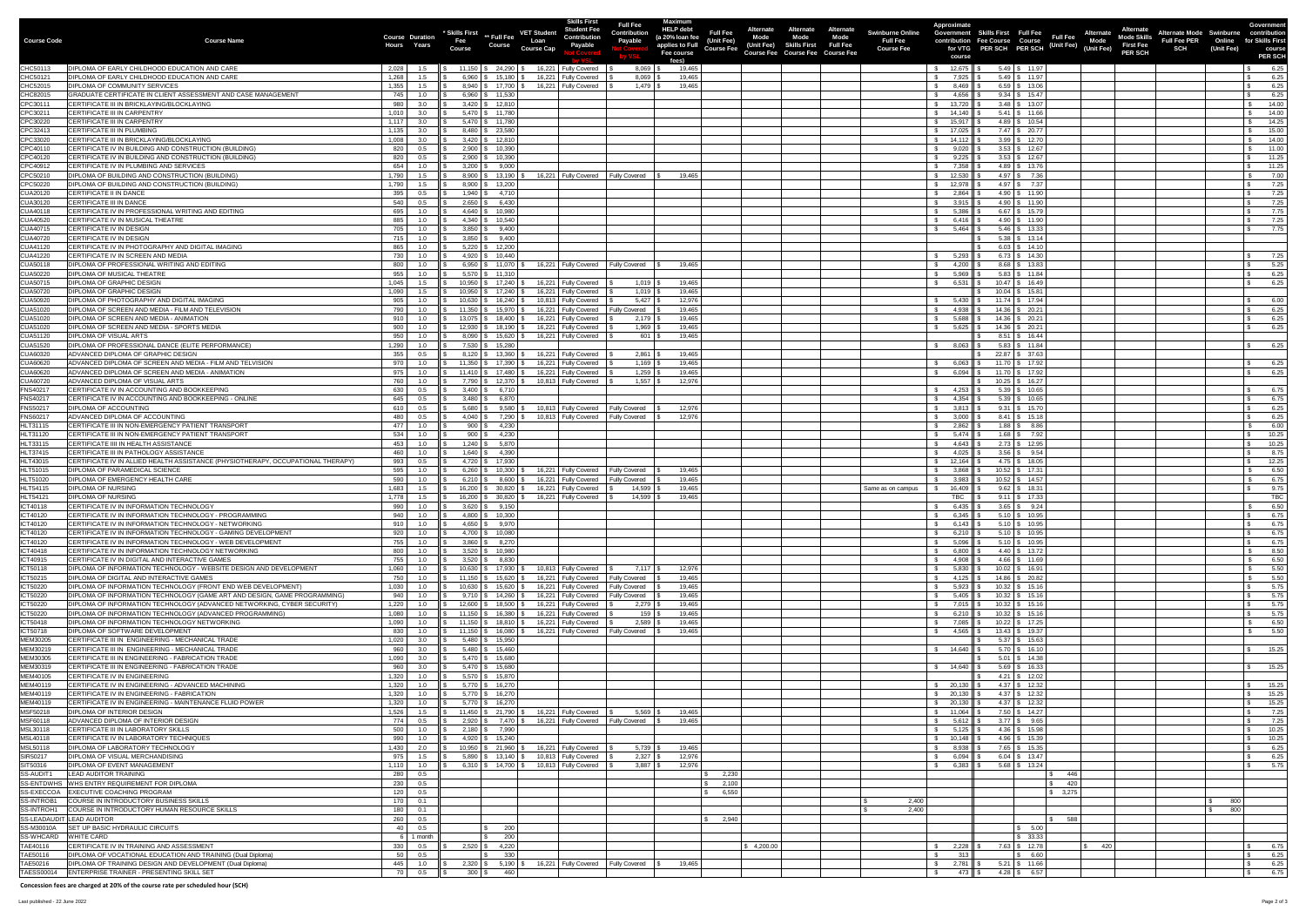| <b>Course Code</b>                 | <b>Course Name</b>                                                                                                                                   | Hours                    | <b>Course Duration</b><br>Years | Skills First ** Full Fee<br>Fee<br><b>Course</b> | <b>Course</b>                                                                             | <b>VET Student</b><br>Loan<br><b>Course Cap</b> | <b>Skills First</b><br>Student Fee<br><b>Contribution</b><br><b>Payable</b>                                           | <b>Full Fee</b><br>Contribution<br><b>Payable</b> | Maximum<br><b>HELP debt</b><br>(a 20% loan fee<br>applies to Full | <b>Full Fee</b><br>(Unit Fee)<br><b>Course Fee</b> | Alternate<br><b>Mode</b><br>(Unit Fee) | <b>Alternate</b><br><b>Alternate</b><br><b>Mode</b><br>Mode<br><b>Skills First Full Fee</b> | <b>Swinburne Online</b><br><b>Full Fee</b><br><b>Course Fee</b> | <b>Approximate</b>                             | Government Skills First Full Fee<br>contribution Fee Course Course<br>for VTG PER SCH PER SCH |                                                 | <b>Alternate</b><br><b>Full Fee</b><br><b>Mode Skills</b><br>Mode<br>Su (Unit Fee) (Unit Fee)<br><b>First Fee</b> | <b>Alternate Mode Swinburne</b><br><b>Full Fee PER</b><br><b>SCH</b> | Online<br>(Unit Fee) | <b>Government</b><br>contribution<br>for Skills First<br>course |
|------------------------------------|------------------------------------------------------------------------------------------------------------------------------------------------------|--------------------------|---------------------------------|--------------------------------------------------|-------------------------------------------------------------------------------------------|-------------------------------------------------|-----------------------------------------------------------------------------------------------------------------------|---------------------------------------------------|-------------------------------------------------------------------|----------------------------------------------------|----------------------------------------|---------------------------------------------------------------------------------------------|-----------------------------------------------------------------|------------------------------------------------|-----------------------------------------------------------------------------------------------|-------------------------------------------------|-------------------------------------------------------------------------------------------------------------------|----------------------------------------------------------------------|----------------------|-----------------------------------------------------------------|
|                                    |                                                                                                                                                      |                          |                                 |                                                  |                                                                                           |                                                 |                                                                                                                       |                                                   | Fee course<br>fees)                                               |                                                    |                                        | <b>Course Fee Course Fee Course Fee</b>                                                     |                                                                 | course                                         |                                                                                               |                                                 | <b>PER SCH</b>                                                                                                    |                                                                      |                      | <b>PER SCH</b>                                                  |
| CHC50113<br>CHC50121               | <b>DIPLOMA OF EARLY CHILDHOOD EDUCATION AND CARE</b><br><b>DIPLOMA OF EARLY CHILDHOOD EDUCATION AND CARE</b>                                         | 2,028<br>1,268           | 1.5<br>1.5                      |                                                  | $6,960$ $\frac{1}{3}$ 15,180 $\frac{1}{3}$                                                | 11,150   \$ 24,290   \$ 16,221   Fully Covered  | 16,221 Fully Covered                                                                                                  | $8,069$ \$<br>$8,069$ \ \$                        | 19,465<br>19,465                                                  |                                                    |                                        |                                                                                             |                                                                 | 12,675    \$<br>7,925    \$                    |                                                                                               | $5.49$ \ \$ 11.97<br>$5.49$ \$ 11.97            |                                                                                                                   |                                                                      |                      | 6.25<br>6.25                                                    |
| CHC52015<br>CHC82015               | <b>DIPLOMA OF COMMUNITY SERVICES</b><br>GRADUATE CERTIFICATE IN CLIENT ASSESSMENT AND CASE MANAGEMENT                                                | 1,355<br>745             | 1.0                             |                                                  | $8,940$ $\frac{1}{9}$ 17,700 $\frac{1}{9}$<br>$6,960$ \ \$ 11,530                         |                                                 | 16,221 Fully Covered                                                                                                  | $1.479$ $\frac{8}{3}$                             | 19,465                                                            |                                                    |                                        |                                                                                             |                                                                 | 8,469<br>4,656                                 |                                                                                               | $6.59$ \ \$ 13.06<br>$9.34$ \ \$ 15.47          |                                                                                                                   |                                                                      |                      | 6.25<br>6.25                                                    |
| CPC3011                            | <b>CERTIFICATE III IN BRICKLAYING/BLOCKLAYING</b><br>CERTIFICATE III IN CARPENTRY                                                                    | 980<br>1,010             | 3.0                             |                                                  | $3,420$ \ \$ 12,810<br>$5,470$ \ \$ 11,780                                                |                                                 |                                                                                                                       |                                                   |                                                                   |                                                    |                                        |                                                                                             |                                                                 | 13,720<br>$14,140$ $\parallel$ \$              |                                                                                               | $3.48$ \ \$ 13.07<br>$5.41$ $\frac{1}{3}$ 11.66 |                                                                                                                   |                                                                      |                      | 14.00<br>14.00                                                  |
| CPC30211<br>CPC30220               | CERTIFICATE III IN CARPENTRY                                                                                                                         |                          | 3.0<br>$1,117$ 3.0              |                                                  | $5,470$ \ \$ 11,780                                                                       |                                                 |                                                                                                                       |                                                   |                                                                   |                                                    |                                        |                                                                                             |                                                                 | \$15,917 II \$                                 |                                                                                               | 4.89   \$ 10.54                                 |                                                                                                                   |                                                                      |                      | 14.25                                                           |
| CPC32413<br>CPC33020               | CERTIFICATE III IN PLUMBING<br>CERTIFICATE III IN BRICKLAYING/BLOCKLAYING                                                                            | 1,135<br>1.008           | - 3.0<br>3.0                    |                                                  | $8,480$ \ \$ 23,580<br>$3,420$ \ \$ 12,810                                                |                                                 |                                                                                                                       |                                                   |                                                                   |                                                    |                                        |                                                                                             |                                                                 | 17,025<br>14,112                               |                                                                                               | 7.47   \$20.77<br>$3.99$ \ \$ 12.70             |                                                                                                                   |                                                                      |                      | 15.00<br>14.00                                                  |
| CPC40110                           | CERTIFICATE IV IN BUILDING AND CONSTRUCTION (BUILDING)                                                                                               | 820                      | 0.5                             |                                                  | $2,900$ \$ 10,390                                                                         |                                                 |                                                                                                                       |                                                   |                                                                   |                                                    |                                        |                                                                                             |                                                                 | 9,020                                          |                                                                                               | $3.53$ $\frac{1}{3}$ 12.67                      |                                                                                                                   |                                                                      |                      | 11.00                                                           |
| CPC40120<br>CPC40912               | CERTIFICATE IV IN BUILDING AND CONSTRUCTION (BUILDING)<br>CERTIFICATE IV IN PLUMBING AND SERVICES                                                    | 820<br>654               | 0.5<br>1.0                      |                                                  | $2,900$ \$ 10,390<br>$3,200$ \$ 9,000                                                     |                                                 |                                                                                                                       |                                                   |                                                                   |                                                    |                                        |                                                                                             |                                                                 | 9,225<br>7,358                                 |                                                                                               | $3.53$ \$ 12.67<br>$4.89$ \ \$ 13.76            |                                                                                                                   |                                                                      |                      | 11.25<br>11.25                                                  |
| CPC50210                           | DIPLOMA OF BUILDING AND CONSTRUCTION (BUILDING)                                                                                                      | 1,790                    |                                 |                                                  | $8,900$ $\frac{1}{3}$ 13,190 $\frac{1}{3}$                                                |                                                 | 16,221 Fully Covered                                                                                                  | <b>Fully Covered</b>                              | 19,465                                                            |                                                    |                                        |                                                                                             |                                                                 | 12,530                                         |                                                                                               | $4.97$ \ \$ 7.36                                |                                                                                                                   |                                                                      |                      | 7.00                                                            |
| CPC50220<br>CUA20120               | DIPLOMA OF BUILDING AND CONSTRUCTION (BUILDING)<br><b>CERTIFICATE II IN DANCE</b>                                                                    | 1,790<br>395             | 1.5<br>0.5                      |                                                  | $8,900$ \ \$ 13,200<br>$1,940$ \ \$ 4,710                                                 |                                                 |                                                                                                                       |                                                   |                                                                   |                                                    |                                        |                                                                                             |                                                                 | 12,978<br>2,864                                |                                                                                               | $4.97$ \ \$ 7.37<br>$4.90$ \ \$ 11.90           |                                                                                                                   |                                                                      |                      | 7.25<br>7.25                                                    |
| CUA30120<br><b>CUA40118</b>        | <b>CERTIFICATE III IN DANCE</b><br>CERTIFICATE IV IN PROFESSIONAL WRITING AND EDITING                                                                | 540<br>695               | 0.5<br>1.0                      |                                                  | $2,650$ \ \$ 6,430<br>$4,640$ \ \$ 10,980                                                 |                                                 |                                                                                                                       |                                                   |                                                                   |                                                    |                                        |                                                                                             |                                                                 | 3,915<br>5,386                                 |                                                                                               | 4.90   \$ 11.90<br>$6.67$ \ \$ 15.79            |                                                                                                                   |                                                                      |                      | 7.25<br>7.75                                                    |
| <b>CUA40520</b>                    | CERTIFICATE IV IN MUSICAL THEATRE                                                                                                                    | 885                      | 1.0                             |                                                  | $4,340$ \ \$ 10,540                                                                       |                                                 |                                                                                                                       |                                                   |                                                                   |                                                    |                                        |                                                                                             |                                                                 | 6,416 II                                       |                                                                                               | 4.90 \$ 11.90                                   |                                                                                                                   |                                                                      |                      | 7.25                                                            |
| CUA40715<br>CUA40720               | CERTIFICATE IV IN DESIGN<br><b>CERTIFICATE IV IN DESIGN</b>                                                                                          | 705<br>715               | 1.0<br>1.0                      |                                                  | $3,850$ \$ 9,400<br>$3.850$ $\frac{1}{9}$ 9.400                                           |                                                 |                                                                                                                       |                                                   |                                                                   |                                                    |                                        |                                                                                             |                                                                 | 5,464                                          |                                                                                               | $5.46$ \ \$ 13.33<br>$5.38$ $\frac{1}{3}$ 13.14 |                                                                                                                   |                                                                      |                      | 7.75                                                            |
| <b>CUA41120</b>                    | CERTIFICATE IV IN PHOTOGRAPHY AND DIGITAL IMAGING                                                                                                    | 865                      | 1.0                             |                                                  | $5,220$ \$ 12,200                                                                         |                                                 |                                                                                                                       |                                                   |                                                                   |                                                    |                                        |                                                                                             |                                                                 |                                                |                                                                                               | $6.03$ \$ 14.10                                 |                                                                                                                   |                                                                      |                      |                                                                 |
| <b>CUA41220</b><br>CUA50118        | CERTIFICATE IV IN SCREEN AND MEDIA<br><b>DIPLOMA OF PROFESSIONAL WRITING AND EDITING</b>                                                             | 730<br>800 I             | 1.0<br>1.0                      |                                                  | $4,920$ \$ 10,440<br>$6,950$ $\frac{1}{3}$ 11,070 $\frac{1}{3}$                           |                                                 | 16,221 Fully Covered                                                                                                  | <b>Fully Covered</b>                              | 19,465                                                            |                                                    |                                        |                                                                                             |                                                                 | 5,293<br>4,200                                 |                                                                                               | $6.73$ $\frac{1}{3}$ 14.30<br>8.68   \$13.83    |                                                                                                                   |                                                                      |                      | 7.25<br>5.25                                                    |
| <b>CUA50220</b>                    | <b>DIPLOMA OF MUSICAL THEATRE</b>                                                                                                                    | 955                      | 1.0                             |                                                  | $5,570$ \$ 11,310                                                                         |                                                 |                                                                                                                       |                                                   |                                                                   |                                                    |                                        |                                                                                             |                                                                 | 5,969                                          |                                                                                               | $5.83$ \ \$ 11.84                               |                                                                                                                   |                                                                      |                      | 6.25                                                            |
| CUA50715<br><b>CUA50720</b>        | <b>DIPLOMA OF GRAPHIC DESIGN</b><br><b>DIPLOMA OF GRAPHIC DESIGN</b>                                                                                 | 1,045                    | $1,090$ 1.5                     |                                                  | $10.950$ \ \$ 17,240 \ \ \$                                                               |                                                 | 16,221 Fully Covered<br>   \$ 10,950   \$ 17,240   \$ 16,221   Fully Covered   \$                                     | $1,019$ $\mid$ 3<br>$1,019$ \$                    | 19,465<br>19,465                                                  |                                                    |                                        |                                                                                             |                                                                 | 6,531                                          | ι Ψ                                                                                           | $10.47$ \$ 16.49<br>$10.04$ \$ 15.81            |                                                                                                                   |                                                                      |                      | 6.25                                                            |
| <b>CUA50920</b>                    | <b>DIPLOMA OF PHOTOGRAPHY AND DIGITAL IMAGING</b><br>DIPLOMA OF SCREEN AND MEDIA - FILM AND TELEVISION                                               | 905 L<br>790 I           | 1.0<br>1.0                      |                                                  | 11,350   \$ 15,970   \$                                                                   |                                                 | 10,630   \$ 16,240   \$ 10,813   Fully Covered<br>16,221   Fully Covered                                              | <b>Fully Covered</b>                              | 12,976<br>19,465                                                  |                                                    |                                        |                                                                                             |                                                                 | 5,430 Ⅱ \$<br>4,938 Ⅱ \$                       |                                                                                               | $11.74$ \$ 17.94<br>14.36 \$ 20.21              |                                                                                                                   |                                                                      |                      | 6.00<br>6.25                                                    |
| CUA51020<br>CUA51020               | DIPLOMA OF SCREEN AND MEDIA - ANIMATION                                                                                                              | 910                      | 1.0                             |                                                  |                                                                                           | 13,075   \$ 18,400   \$ 16,221   Fully Covered  |                                                                                                                       | $2,179$ $\mid$ 3                                  | 19,465                                                            |                                                    |                                        |                                                                                             |                                                                 | 5,688                                          |                                                                                               | $14.36$ \ \$ 20.21                              |                                                                                                                   |                                                                      |                      | 6.25                                                            |
| CUA51020<br><b>CUA51120</b>        | DIPLOMA OF SCREEN AND MEDIA - SPORTS MEDIA<br><b>DIPLOMA OF VISUAL ARTS</b>                                                                          | 900<br>950               | 1.0<br>1.0                      |                                                  |                                                                                           |                                                 | 12,930   \$ 18,190   \$ 16,221   Fully Covered<br>8,090 \ \$ 15,620 \ \$ 16,221   Fully Covered                       | 1,969<br>$601$ \ \$                               | 19,465<br>19,465                                                  |                                                    |                                        |                                                                                             |                                                                 | 5,625                                          |                                                                                               | 14.36 \$ 20.21<br>$8.51$ \ \$ 16.44             |                                                                                                                   |                                                                      |                      | 6.25                                                            |
| CUA51520                           | DIPLOMA OF PROFESSIONAL DANCE (ELITE PERFORMANCE)                                                                                                    | 1,290                    | 1.0                             |                                                  | 7,530 \$ 15,280                                                                           |                                                 |                                                                                                                       |                                                   |                                                                   |                                                    |                                        |                                                                                             |                                                                 | 8,063                                          |                                                                                               | $5.83$ \ \$ 11.84                               |                                                                                                                   |                                                                      |                      | 6.25                                                            |
| CUA60320<br>CUA60620               | ADVANCED DIPLOMA OF GRAPHIC DESIGN<br>ADVANCED DIPLOMA OF SCREEN AND MEDIA - FILM AND TELVISION                                                      | 355<br>970               | 0.5<br>1.0                      |                                                  | $8,120$ $\frac{1}{3}$ 13,360 $\frac{1}{3}$                                                | 11,350   \$ 17,390   \$ 16,221   Fully Covered  | 16,221 Fully Covered                                                                                                  | 2,861<br>1,169                                    | 19,465<br>19,465                                                  |                                                    |                                        |                                                                                             |                                                                 | 6,063                                          |                                                                                               | $22.87$ \$ 37.63<br>$11.70$ \$ 17.92            |                                                                                                                   |                                                                      |                      | 6.25                                                            |
| CUA60620                           | ADVANCED DIPLOMA OF SCREEN AND MEDIA - ANIMATION                                                                                                     | 975                      | 1.0                             |                                                  |                                                                                           |                                                 | 11,410   \$ 17,480   \$ 16,221   Fully Covered                                                                        |                                                   | 19,465                                                            |                                                    |                                        |                                                                                             |                                                                 | $6,094$ \$                                     |                                                                                               | $11.70$ \$ 17.92                                |                                                                                                                   |                                                                      |                      | 6.25                                                            |
| CUA60720<br><b>FNS40217</b>        | ADVANCED DIPLOMA OF VISUAL ARTS<br>CERTIFICATE IV IN ACCOUNTING AND BOOKKEEPING                                                                      | 760 L<br>630             | 1.0<br>$0.5\,$                  |                                                  | $3,400$ \$ 6,710                                                                          |                                                 | 7,790   \$ 12,370   \$ 10,813   Fully Covered                                                                         | 1.557 $\frac{1}{3}$                               | 12,976                                                            |                                                    |                                        |                                                                                             |                                                                 | 4,253 $\parallel$ \$                           |                                                                                               | $10.25$ \$ 16.27<br>$5.39$ \$ 10.65             |                                                                                                                   |                                                                      |                      | 6.75                                                            |
| <b>FNS40217</b><br><b>FNS50217</b> | CERTIFICATE IV IN ACCOUNTING AND BOOKKEEPING - ONLINE<br><b>DIPLOMA OF ACCOUNTING</b>                                                                | 645 I<br>610             | 0.5<br>0.5                      |                                                  | $3,480$ \ \$ 6,870                                                                        |                                                 | 5,680   \$ 9,580   \$ 10,813   Fully Covered                                                                          | <b>Fully Covered</b>                              | 12,976                                                            |                                                    |                                        |                                                                                             |                                                                 | 4,354 $\parallel$ \$<br>$3,813$ $\parallel$ \$ |                                                                                               | $5.39$ \ \$ 10.65<br>$9.31 \quad $15.70$        |                                                                                                                   |                                                                      |                      | 6.75<br>6.25                                                    |
| <b>FNS60217</b>                    | ADVANCED DIPLOMA OF ACCOUNTING                                                                                                                       | 480                      | 0.5                             |                                                  |                                                                                           |                                                 | 4,040   \$ 7,290   \$ 10,813   Fully Covered                                                                          | <b>Fully Covered</b>                              | 12,976                                                            |                                                    |                                        |                                                                                             |                                                                 | $3,000$    \$                                  |                                                                                               | $8.41$ \ \$ 15.18                               |                                                                                                                   |                                                                      |                      | 6.25                                                            |
| <b>HLT31115</b><br>HLT31120        | CERTIFICATE III IN NON-EMERGENCY PATIENT TRANSPORT<br>CERTIFICATE III IN NON-EMERGENCY PATIENT TRANSPORT                                             | 477 L<br>534             | 1.0<br>1.0                      |                                                  | $900$ \$ 4,230<br>$900$ \$ 4,230                                                          |                                                 |                                                                                                                       |                                                   |                                                                   |                                                    |                                        |                                                                                             |                                                                 | 2,862<br>$5,474$ $\parallel$ \$                |                                                                                               | $1.88$ \ \$ $8.86$<br>$1.68$ \$ 7.92            |                                                                                                                   |                                                                      |                      | 6.00<br>10.25                                                   |
| HLT33115                           | <b>CERTIFICATE IIII IN HEALTH ASSISTANCE</b>                                                                                                         | 453                      | 1.0                             |                                                  | $1,240$ \ \$ 5,870                                                                        |                                                 |                                                                                                                       |                                                   |                                                                   |                                                    |                                        |                                                                                             |                                                                 | 4,643                                          |                                                                                               | $2.73$ \$ 12.95                                 |                                                                                                                   |                                                                      |                      | 10.25                                                           |
| <b>HLT37415</b><br><b>HLT43015</b> | <b>CERTIFICATE III IN PATHOLOGY ASSISTANCE</b><br>CERTIFICATE IV IN ALLIED HEALTH ASSISTANCE (PHYSIOTHERAPY, OCCUPATIONAL THERAPY)                   | 460<br>993 I             | 1.0<br>0.5                      |                                                  | $1,640$ \ \$ 4,390<br>4,720 \$ 17,930                                                     |                                                 |                                                                                                                       |                                                   |                                                                   |                                                    |                                        |                                                                                             |                                                                 | 4,025<br>$12,164$ S                            |                                                                                               | $3.56$ \ \$ 9.54<br>$4.75$ \ \$ 18.05           |                                                                                                                   |                                                                      |                      | 8.75<br>12.25                                                   |
| HLT51015                           | <b>DIPLOMA OF PARAMEDICAL SCIENCE</b>                                                                                                                | 595                      | 1.0                             |                                                  | $6,260$ \ \$ 10,300 \ \$                                                                  |                                                 | 16,221   Fully Covered                                                                                                | <b>Fully Covered</b>                              | 19,465                                                            |                                                    |                                        |                                                                                             |                                                                 | $3,868$ \$                                     |                                                                                               | $10.52$ \$ 17.31                                |                                                                                                                   |                                                                      |                      | 6.50                                                            |
| HLT51020<br>HLT54115               | <b>DIPLOMA OF EMERGENCY HEALTH CARE</b><br><b>DIPLOMA OF NURSING</b>                                                                                 | 590<br>1,683             | 1.0                             |                                                  | $6,210$ $\frac{1}{9}$ $8,600$ $\frac{1}{9}$<br>$16,200$ \$ 30,820 \$                      |                                                 | 16,221 Fully Covered<br>16,221   Fully Covered                                                                        | <b>Fully Covered</b><br>14,599                    | 19,465<br>19,465                                                  |                                                    |                                        |                                                                                             | Same as on campus                                               | 3,983<br>16,409                                |                                                                                               | $10.52$ \$ 14.57<br>$9.62$ \ \$ 18.31           |                                                                                                                   |                                                                      |                      | 6.75<br>9.75                                                    |
| <b>HLT54121</b><br>ICT40118        | <b>DIPLOMA OF NURSING</b><br>CERTIFICATE IV IN INFORMATION TECHNOLOGY                                                                                | 1,778                    | 1.5                             |                                                  | $3,620$ \$ 9,150                                                                          |                                                 | 16,200   \$ 30,820   \$ 16,221   Fully Covered                                                                        | 14,599                                            | 19,465                                                            |                                                    |                                        |                                                                                             |                                                                 | <b>TBC</b>                                     |                                                                                               | $9.11$ \$ 17.33<br>$3.65$ \ \$ 9.24             |                                                                                                                   |                                                                      |                      | <b>TBC</b><br>6.50                                              |
| ICT40120                           | CERTIFICATE IV IN INFORMATION TECHNOLOGY - PROGRAMMING                                                                                               | 990  <br>940             | 1.0<br>1.0                      |                                                  | $4,800$ \ \$ 10,300                                                                       |                                                 |                                                                                                                       |                                                   |                                                                   |                                                    |                                        |                                                                                             |                                                                 | 6,435<br>$6,345$ \$                            |                                                                                               | $5.10$ \$ 10.95                                 |                                                                                                                   |                                                                      |                      | 6.75                                                            |
| ICT40120<br>ICT40120               | CERTIFICATE IV IN INFORMATION TECHNOLOGY - NETWORKING<br>CERTIFICATE IV IN INFORMATION TECHNOLOGY - GAMING DEVELOPMENT                               | 910<br>920               | 1.0<br>1.0                      |                                                  | $4,650$ \$ 9,970<br>$4,700$ \$ 10,080                                                     |                                                 |                                                                                                                       |                                                   |                                                                   |                                                    |                                        |                                                                                             |                                                                 | 6,143 $\parallel$ \$<br>6,210 $\parallel$ \$   |                                                                                               | $5.10$ \$ 10.95<br>$5.10$ \ \$ 10.95            |                                                                                                                   |                                                                      |                      | 6.75<br>6.75                                                    |
| ICT40120                           | CERTIFICATE IV IN INFORMATION TECHNOLOGY - WEB DEVELOPMENT                                                                                           | 755                      | 1.0                             |                                                  | $3,860$ \$ 8,270                                                                          |                                                 |                                                                                                                       |                                                   |                                                                   |                                                    |                                        |                                                                                             |                                                                 | 5,096                                          |                                                                                               | $5.10$ $\frac{1}{3}$ 10.95                      |                                                                                                                   |                                                                      |                      | 6.75                                                            |
| ICT40418<br>ICT40915               | CERTIFICATE IV IN INFORMATION TECHNOLOGY NETWORKING<br>CERTIFICATE IV IN DIGITAL AND INTERACTIVE GAMES                                               | 800<br>755 I             | 1.0<br>1.0                      |                                                  | $3,520$ \ \$ 10,980<br>$3,520$ \$ 8,830                                                   |                                                 |                                                                                                                       |                                                   |                                                                   |                                                    |                                        |                                                                                             |                                                                 | 6,800    \$<br>4,908                           |                                                                                               | $4.40$ \ \$ 13.72<br>$4.66$ \ \$ 11.69          |                                                                                                                   |                                                                      |                      | 8.50<br>6.50                                                    |
| ICT50118                           | DIPLOMA OF INFORMATION TECHNOLOGY - WEBSITE DESIGN AND DEVELOPMENT                                                                                   | 1,060                    | 1.0                             |                                                  |                                                                                           |                                                 | 10,630   \$ 17,930   \$ 10,813   Fully Covered   \$                                                                   | $7,117$ $\sqrt{5}$                                | 12,976                                                            |                                                    |                                        |                                                                                             |                                                                 | 5,830 $\parallel$ \$                           |                                                                                               | $10.02$ \$ 16.91                                |                                                                                                                   |                                                                      |                      | 5.50                                                            |
| ICT50215<br>ICT50220               | <b>DIPLOMA OF DIGITAL AND INTERACTIVE GAMES</b><br>DIPLOMA OF INFORMATION TECHNOLOGY (FRONT END WEB DEVELOPMENT)                                     | 750 I<br>1,030           | 1.0<br>1.0                      |                                                  | $11,150$ $\begin{array}{ccc} 5 & 15,620 \end{array}$ 5                                    |                                                 | 16,221 Fully Covered<br>10,630   \$ 15,620   \$ 16,221   Fully Covered                                                | Fully Covered<br><b>Fully Covered</b>             | 19,465<br>19,465                                                  |                                                    |                                        |                                                                                             |                                                                 | 4,125    \$<br>$5,923$    \$                   |                                                                                               | 14.86 \$ 20.82<br>$10.32$ \$ 15.16              |                                                                                                                   |                                                                      |                      | 5.50<br>5.75                                                    |
| ICT50220<br>ICT50220               | DIPLOMA OF INFORMATION TECHNOLOGY (GAME ART AND DESIGN, GAME PROGRAMMING)<br>DIPLOMA OF INFORMATION TECHNOLOGY (ADVANCED NETWORKING, CYBER SECURITY) | 940<br>1,220             | 1.0<br>1.0                      |                                                  |                                                                                           |                                                 | $9,710$ $\frac{1}{3}$ $14,260$ $\frac{1}{3}$ $16,221$ Fully Covered<br>12,600   \$ 18,500   \$ 16,221   Fully Covered | <b>Fully Covered</b><br>2,279                     | 19,465<br>19,465                                                  |                                                    |                                        |                                                                                             |                                                                 | $5,405$ \$<br>$7,015$ \$                       |                                                                                               | $10.32$ \$ 15.16<br>$10.32$ \$ 15.16            |                                                                                                                   |                                                                      |                      | 5.75<br>5.75                                                    |
| ICT50220                           | DIPLOMA OF INFORMATION TECHNOLOGY (ADVANCED PROGRAMMING)                                                                                             | 1,080                    | 1.0                             |                                                  | $11,150$ \$ $16,380$ \$                                                                   |                                                 | 16,221 Fully Covered                                                                                                  | $159$ \ \$                                        | 19,465                                                            |                                                    |                                        |                                                                                             |                                                                 | 6,210 ┃ \$                                     |                                                                                               | $10.32$ \$ 15.16                                |                                                                                                                   |                                                                      |                      | 5.75                                                            |
| ICT50418<br>ICT50718               | DIPLOMA OF INFORMATION TECHNOLOGY NETWORKING<br>DIPLOMA OF SOFTWARE DEVELOPMENT                                                                      | 1.090<br>830             | 1.0<br>1.0                      |                                                  | $11,150$ $\frac{1}{3}$ $18,810$ $\frac{1}{3}$                                             |                                                 | 16,221 Fully Covered<br>11,150   \$ 16,080   \$ 16,221   Fully Covered                                                | 2,589<br><b>Fully Covered</b>                     | 19,465<br>19,465                                                  |                                                    |                                        |                                                                                             |                                                                 | 7,085<br>$4,565$ \$                            |                                                                                               | $10.22$ \$ 17.25<br>$13.43$ \$ 19.37            |                                                                                                                   |                                                                      |                      | 6.50<br>5.50                                                    |
| MEM30205                           | CERTIFICATE III IN ENGINEERING - MECHANICAL TRADE                                                                                                    | 1,020                    | - 3.0                           |                                                  | $5,480$ \ \$ 15,950                                                                       |                                                 |                                                                                                                       |                                                   |                                                                   |                                                    |                                        |                                                                                             |                                                                 |                                                |                                                                                               | $5.37$ \ \$ 15.63                               |                                                                                                                   |                                                                      |                      |                                                                 |
| MEM30219<br>MEM30305               | CERTIFICATE III IN ENGINEERING - MECHANICAL TRADE<br>CERTIFICATE III IN ENGINEERING - FABRICATION TRADE                                              | 960<br>1,090             | 3.0<br>3.0                      |                                                  | $5,480$ \ \$ 15,460<br>$5,470$ \ \$ 15,680                                                |                                                 |                                                                                                                       |                                                   |                                                                   |                                                    |                                        |                                                                                             |                                                                 |                                                |                                                                                               | $5.70$ $\frac{1}{3}$ 16.10<br>$5.01$ \ \$ 14.38 |                                                                                                                   |                                                                      |                      | 15.25                                                           |
| MEM30319<br>MEM40105               | CERTIFICATE III IN ENGINEERING - FABRICATION TRADE<br>CERTIFICATE IV IN ENGINEERING                                                                  | 960<br>1,320             | 3.0<br>1.0                      |                                                  | $5,470$ \$ 15,680<br>$5,570$ \$ 15,870                                                    |                                                 |                                                                                                                       |                                                   |                                                                   |                                                    |                                        |                                                                                             |                                                                 | \$ 14,640                                      |                                                                                               | $5.69$ \ \$ 16.33<br>$4.21 \quad$ \$ 12.02      |                                                                                                                   |                                                                      |                      | 15.25                                                           |
| MEM40119                           | CERTIFICATE IV IN ENGINEERING - ADVANCED MACHINING                                                                                                   | 1,320                    |                                 |                                                  | $5,770$ \$ 16,270                                                                         |                                                 |                                                                                                                       |                                                   |                                                                   |                                                    |                                        |                                                                                             |                                                                 | \$ 20,130                                      |                                                                                               | $4.37$ \ \$ 12.32                               |                                                                                                                   |                                                                      |                      | 15.25                                                           |
| MEM40119<br>MEM40119               | CERTIFICATE IV IN ENGINEERING - FABRICATION<br>CERTIFICATE IV IN ENGINEERING - MAINTENANCE FLUID POWER                                               | 1,320<br>1,320           | 1.0<br>1.0                      |                                                  | $5,770$ \$ 16,270<br>$5,770$ \$ 16,270                                                    |                                                 |                                                                                                                       |                                                   |                                                                   |                                                    |                                        |                                                                                             |                                                                 |                                                |                                                                                               | $4.37$ \ \$ 12.32<br>$4.37$ \$ 12.32            |                                                                                                                   |                                                                      |                      | 15.25<br>15.25                                                  |
| MSF50218                           | <b>DIPLOMA OF INTERIOR DESIGN</b>                                                                                                                    | 1,526                    |                                 |                                                  | $11,450$ $\mid$ \$ 21,790 $\mid$ \$                                                       |                                                 | 16,221 Fully Covered                                                                                                  | 5,569                                             | 19,465                                                            |                                                    |                                        |                                                                                             |                                                                 | \$ 11,064                                      |                                                                                               | 7.50 \$ 14.27                                   |                                                                                                                   |                                                                      |                      | 7.25                                                            |
| MSF60118<br>MSL30118               | ADVANCED DIPLOMA OF INTERIOR DESIGN<br><b>CERTIFICATE III IN LABORATORY SKILLS</b>                                                                   | 774  <br>500 L           | $0.5\,$<br>1.0                  |                                                  | $2,920$ \ \$ 7,470 \ \$<br>$2,180$ \$ 7,990                                               |                                                 | 16,221 Fully Covered                                                                                                  | <b>Fully Covered</b>                              | 19,465                                                            |                                                    |                                        |                                                                                             |                                                                 | 5,612<br>5,125                                 |                                                                                               | $3.77$ \$ 9.65<br>$4.36$ \ \$ 15.98             |                                                                                                                   |                                                                      |                      | 7.25<br>10.25                                                   |
| MSL40118                           | CERTIFICATE IV IN LABORATORY TECHNIQUES                                                                                                              | 990                      | 1.0                             |                                                  | $4,920$ \$ 15,240                                                                         |                                                 |                                                                                                                       |                                                   |                                                                   |                                                    |                                        |                                                                                             |                                                                 | 10,148 II                                      |                                                                                               | $4.96$ \ \$ 15.39                               |                                                                                                                   |                                                                      |                      | 10.25                                                           |
| MSL50118<br>SIR50217               | <b>DIPLOMA OF LABORATORY TECHNOLOGY</b><br><b>DIPLOMA OF VISUAL MERCHANDISING</b>                                                                    | 1,430<br>975             | 2.0<br>1.5                      |                                                  | $10,950$ $\frac{1}{9}$ 21,960 $\frac{1}{9}$<br>$5,890$ $\frac{1}{3}$ 13,140 $\frac{1}{3}$ |                                                 | 16,221 Fully Covered<br>10,813 Fully Covered                                                                          | $5,739$ \ \$<br>$2,327$ $\mid$ 3                  | 19,465<br>12,976                                                  |                                                    |                                        |                                                                                             |                                                                 | $8,938$    \$<br>6,094                         |                                                                                               | 7.65 \$ 15.35<br>$6.04$ \$ 13.47                |                                                                                                                   |                                                                      |                      | 6.25<br>6.25                                                    |
| SIT50316<br>SS-AUDIT1              | <b>DIPLOMA OF EVENT MANAGEMENT</b><br><b>LEAD AUDITOR TRAINING</b>                                                                                   | 1,110<br>280             | 1.0<br>0.5                      |                                                  |                                                                                           |                                                 | 6,310   \$ 14,700   \$ 10,813   Fully Covered                                                                         | $3,887$ \$                                        | 12,976                                                            | 2,230                                              |                                        |                                                                                             |                                                                 | $6,383$    \$                                  |                                                                                               | $5.68$ \ \$ 13.24                               | 446                                                                                                               |                                                                      |                      | 5.75                                                            |
| <b>SS-ENTDWHS</b>                  | <b>WHS ENTRY REQUIREMENT FOR DIPLOMA</b>                                                                                                             | 230                      | $0.5\,$                         |                                                  |                                                                                           |                                                 |                                                                                                                       |                                                   |                                                                   | 2,100                                              |                                        |                                                                                             |                                                                 |                                                |                                                                                               |                                                 | 420                                                                                                               |                                                                      |                      |                                                                 |
| SS-EXECCOA<br><b>SS-INTROB1</b>    | <b>EXECUTIVE COACHING PROGRAM</b><br>COURSE IN INTRODUCTORY BUSINESS SKILLS                                                                          | 120<br>170 $\vert$       | 0.5<br>01                       |                                                  |                                                                                           |                                                 |                                                                                                                       |                                                   |                                                                   | 6,550                                              |                                        |                                                                                             |                                                                 | 2,400                                          |                                                                                               |                                                 | \$3,275                                                                                                           |                                                                      | 800                  |                                                                 |
| SS-INTROH1                         | COURSE IN INTRODUCTORY HUMAN RESOURCE SKILLS                                                                                                         | 180                      | 0.1                             |                                                  |                                                                                           |                                                 |                                                                                                                       |                                                   |                                                                   |                                                    |                                        |                                                                                             |                                                                 | 2,400                                          |                                                                                               |                                                 |                                                                                                                   |                                                                      | 800                  |                                                                 |
| SS-M30010A                         | <b>SS-LEADAUDIT LEAD AUDITOR</b><br><b>SET UP BASIC HYDRAULIC CIRCUITS</b>                                                                           | 260<br>40 I              | 0.5<br>0.5                      |                                                  | 200                                                                                       |                                                 |                                                                                                                       |                                                   |                                                                   | 2,940                                              |                                        |                                                                                             |                                                                 |                                                |                                                                                               | \$ 5.00                                         | 588                                                                                                               |                                                                      |                      |                                                                 |
| <b>SS-WHCARD</b>                   | <b>WHITE CARD</b>                                                                                                                                    |                          | 6 1 month                       |                                                  | 200                                                                                       |                                                 |                                                                                                                       |                                                   |                                                                   |                                                    |                                        |                                                                                             |                                                                 |                                                |                                                                                               | \$33.33                                         |                                                                                                                   |                                                                      |                      |                                                                 |
| TAE40116<br>TAE50116               | CERTIFICATE IV IN TRAINING AND ASSESSMENT<br>DIPLOMA OF VOCATIONAL EDUCATION AND TRAINING (Dual Diploma)                                             | 330 I<br>50 <sub>1</sub> | 0.5<br>0.5                      |                                                  | $2,520$ \ \$ 4,220<br>330                                                                 |                                                 |                                                                                                                       |                                                   |                                                                   |                                                    | \$4,200.00                             |                                                                                             |                                                                 | $2,228$    \$<br>$313$ $\parallel$             |                                                                                               | 7.63 \$12.78<br>\$ 6.60                         | 420                                                                                                               |                                                                      |                      | 6.75<br>6.25                                                    |
| TAE50216                           | DIPLOMA OF TRAINING DESIGN AND DEVELOPMENT (Dual Diploma)<br>TAESS00014  ENTERPRISE TRAINER - PRESENTING SKILL SET                                   | 445                      | 1.0<br>70 0.5                   |                                                  | $300 \,   \, \$$ 460                                                                      |                                                 | 2,320 $\frac{1}{3}$ 5,190 $\frac{1}{3}$ 16,221 Fully Covered                                                          | <b>Fully Covered</b>                              | 19,465                                                            |                                                    |                                        |                                                                                             |                                                                 | $2,781$ \$<br>$473$ \$<br><b>S</b>             |                                                                                               | $5.21$ \ \$ 11.66 \<br>$4.28$ \ \$ 6.57         |                                                                                                                   |                                                                      |                      | 6.25<br>6.75<br>$\mathbb{S}$                                    |

**Concession fees are charged at 20% of the course rate per scheduled hour (SCH)**